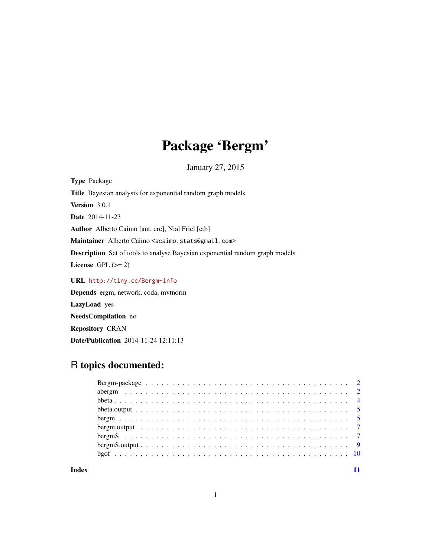# Package 'Bergm'

January 27, 2015

<span id="page-0-0"></span>Type Package Title Bayesian analysis for exponential random graph models Version 3.0.1 Date 2014-11-23 Author Alberto Caimo [aut, cre], Nial Friel [ctb] Maintainer Alberto Caimo <acaimo.stats@gmail.com> Description Set of tools to analyse Bayesian exponential random graph models License GPL  $(>= 2)$ URL <http://tiny.cc/Bergm-info> Depends ergm, network, coda, mvtnorm

LazyLoad yes NeedsCompilation no

Repository CRAN

Date/Publication 2014-11-24 12:11:13

# R topics documented:

| Index |  |
|-------|--|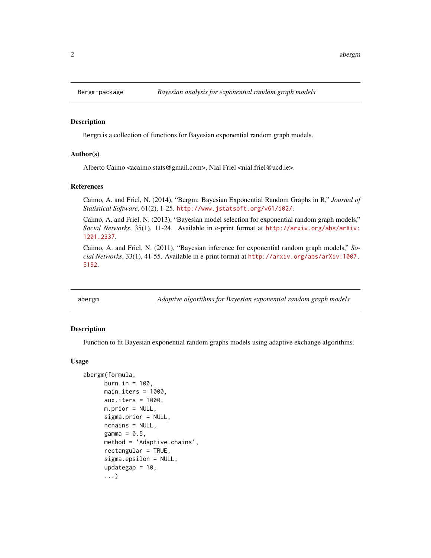<span id="page-1-0"></span>

#### **Description**

Bergm is a collection of functions for Bayesian exponential random graph models.

#### Author(s)

Alberto Caimo <acaimo.stats@gmail.com>, Nial Friel <nial.friel@ucd.ie>.

#### References

Caimo, A. and Friel, N. (2014), "Bergm: Bayesian Exponential Random Graphs in R," *Journal of Statistical Software*, 61(2), 1-25. <http://www.jstatsoft.org/v61/i02/>.

Caimo, A. and Friel, N. (2013), "Bayesian model selection for exponential random graph models," *Social Networks*, 35(1), 11-24. Available in e-print format at [http://arxiv.org/abs/arXiv:](http://arxiv.org/abs/arXiv:1201.2337) [1201.2337](http://arxiv.org/abs/arXiv:1201.2337).

Caimo, A. and Friel, N. (2011), "Bayesian inference for exponential random graph models," *Social Networks*, 33(1), 41-55. Available in e-print format at [http://arxiv.org/abs/arXiv:1007.](http://arxiv.org/abs/arXiv:1007.5192) [5192](http://arxiv.org/abs/arXiv:1007.5192).

abergm *Adaptive algorithms for Bayesian exponential random graph models*

#### **Description**

Function to fit Bayesian exponential random graphs models using adaptive exchange algorithms.

#### Usage

```
abergm(formula,
     burn.in = 100,
     main.iters = 1000,aux.iters = 1000,
     m.prior = NULL,
     sigma.prior = NULL,
     nchains = NULL,
     gamma = 0.5,
     method = 'Adaptive.chains',
     rectangular = TRUE,
     sigma.epsilon = NULL,
     updategap = 10,
      ...)
```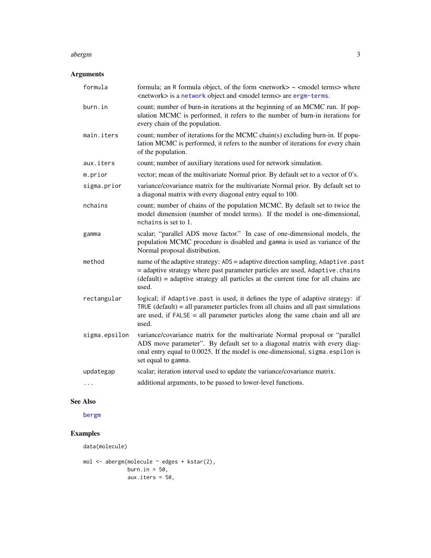#### <span id="page-2-0"></span>abergm 3

# Arguments

| formula       | formula; an R formula object, of the form <network> ~ <model terms=""> where<br/><network> is a network object and <model terms=""> are ergm-terms.</model></network></model></network>                                                                           |
|---------------|-------------------------------------------------------------------------------------------------------------------------------------------------------------------------------------------------------------------------------------------------------------------|
| burn.in       | count; number of burn-in iterations at the beginning of an MCMC run. If pop-<br>ulation MCMC is performed, it refers to the number of burn-in iterations for<br>every chain of the population.                                                                    |
| main.iters    | count; number of iterations for the MCMC chain(s) excluding burn-in. If popu-<br>lation MCMC is performed, it refers to the number of iterations for every chain<br>of the population.                                                                            |
| aux.iters     | count; number of auxiliary iterations used for network simulation.                                                                                                                                                                                                |
| m.prior       | vector; mean of the multivariate Normal prior. By default set to a vector of 0's.                                                                                                                                                                                 |
| sigma.prior   | variance/covariance matrix for the multivariate Normal prior. By default set to<br>a diagonal matrix with every diagonal entry equal to 100.                                                                                                                      |
| nchains       | count; number of chains of the population MCMC. By default set to twice the<br>model dimension (number of model terms). If the model is one-dimensional,<br>nchains is set to 1.                                                                                  |
| gamma         | scalar; "parallel ADS move factor." In case of one-dimensional models, the<br>population MCMC procedure is disabled and gamma is used as variance of the<br>Normal proposal distribution.                                                                         |
| method        | name of the adaptive strategy: ADS = adaptive direction sampling, Adaptive.past<br>= adaptive strategy where past parameter particles are used, Adaptive.chains<br>$(default) = adaptive strategy all particles at the current time for all chains are$<br>used.  |
| rectangular   | logical; if Adaptive.past is used, it defines the type of adaptive strategy: if<br>TRUE (default) = all parameter particles from all chains and all past simulations<br>are used, if $FALSE = all parameter particles along the same chain and all are$<br>used.  |
| sigma.epsilon | variance/covariance matrix for the multivariate Normal proposal or "parallel<br>ADS move parameter". By default set to a diagonal matrix with every diag-<br>onal entry equal to 0.0025. If the model is one-dimensional, sigma.espilon is<br>set equal to gamma. |
| updategap     | scalar; iteration interval used to update the variance/covariance matrix.                                                                                                                                                                                         |
|               | additional arguments, to be passed to lower-level functions.                                                                                                                                                                                                      |

## See Also

[bergm](#page-4-1)

# Examples

data(molecule)

```
mol <- abergm(molecule ~ edges + kstar(2),
              burn.in = 50,
             aux.iters = 50,
```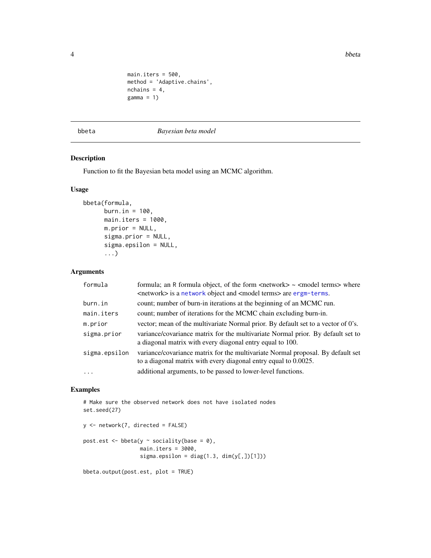<span id="page-3-0"></span>4 bbeta between the control of the control of the control of the control of the control of the control of the control of the control of the control of the control of the control of the control of the control of the control

```
main.iters = 500,
method = 'Adaptive.chains',
nchains = 4,
gamma = 1)
```
<span id="page-3-1"></span>bbeta *Bayesian beta model*

#### Description

Function to fit the Bayesian beta model using an MCMC algorithm.

#### Usage

```
bbeta(formula,
      burn.in = 100,
      main.iters = 1000,
      m.prior = NULL,
      sigma.prior = NULL,
      sigma.epsilon = NULL,
      ...)
```
#### Arguments

| formula       | formula; an R formula object, of the form <network> ~ <model terms=""> where<br/><network> is a network object and <model terms=""> are ergm-terms.</model></network></model></network> |
|---------------|-----------------------------------------------------------------------------------------------------------------------------------------------------------------------------------------|
| burn.in       | count; number of burn-in iterations at the beginning of an MCMC run.                                                                                                                    |
| main.iters    | count; number of iterations for the MCMC chain excluding burn-in.                                                                                                                       |
| m.prior       | vector; mean of the multivariate Normal prior. By default set to a vector of 0's.                                                                                                       |
| sigma.prior   | variance/covariance matrix for the multivariate Normal prior. By default set to<br>a diagonal matrix with every diagonal entry equal to 100.                                            |
| sigma.epsilon | variance/covariance matrix for the multivariate Normal proposal. By default set<br>to a diagonal matrix with every diagonal entry equal to 0.0025.                                      |
| $\cdots$      | additional arguments, to be passed to lower-level functions.                                                                                                                            |

#### Examples

# Make sure the observed network does not have isolated nodes set.seed(27)

```
y <- network(7, directed = FALSE)
post.est \leq bbeta(y \sim sociality(base = 0),
                  main.iters = 3000,
                  sigma.epsilon = diag(1.3, dim(y[,.])[1]))
```
bbeta.output(post.est, plot = TRUE)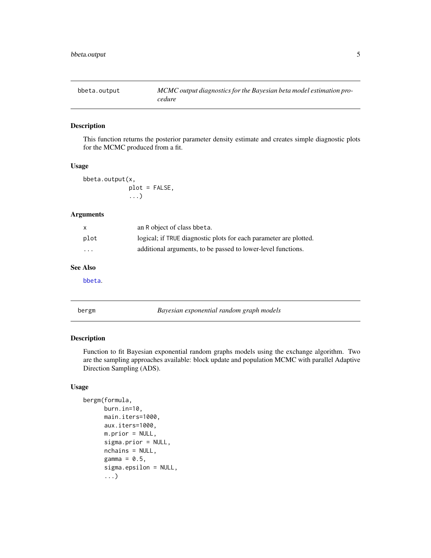<span id="page-4-0"></span>

#### Description

This function returns the posterior parameter density estimate and creates simple diagnostic plots for the MCMC produced from a fit.

#### Usage

bbeta.output(x, plot = FALSE, ...)

#### Arguments

| $\mathsf{x}$            | an R object of class bbeta.                                       |
|-------------------------|-------------------------------------------------------------------|
| plot                    | logical; if TRUE diagnostic plots for each parameter are plotted. |
| $\cdot$ $\cdot$ $\cdot$ | additional arguments, to be passed to lower-level functions.      |

#### See Also

[bbeta](#page-3-1).

<span id="page-4-1"></span>bergm *Bayesian exponential random graph models*

#### Description

Function to fit Bayesian exponential random graphs models using the exchange algorithm. Two are the sampling approaches available: block update and population MCMC with parallel Adaptive Direction Sampling (ADS).

#### Usage

```
bergm(formula,
     burn.in=10,
     main.iters=1000,
      aux.iters=1000,
     m.prior = NULL,
      sigma.prior = NULL,
      nchains = NULL,
      gamma = 0.5,
      sigma.epsilon = NULL,
      ...)
```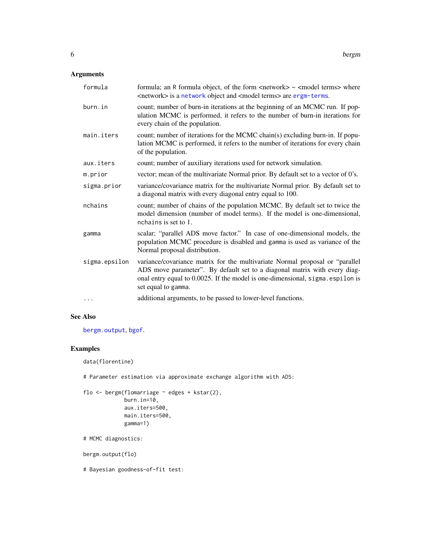#### <span id="page-5-0"></span>Arguments

| formula       | formula; an R formula object, of the form $\langle$ network $\rangle \sim \langle$ model terms $\rangle$ where<br><network> is a network object and <model terms=""> are ergm-terms.</model></network>                                                            |
|---------------|-------------------------------------------------------------------------------------------------------------------------------------------------------------------------------------------------------------------------------------------------------------------|
| burn.in       | count; number of burn-in iterations at the beginning of an MCMC run. If pop-<br>ulation MCMC is performed, it refers to the number of burn-in iterations for<br>every chain of the population.                                                                    |
| main.iters    | count; number of iterations for the MCMC chain(s) excluding burn-in. If popu-<br>lation MCMC is performed, it refers to the number of iterations for every chain<br>of the population.                                                                            |
| aux.iters     | count; number of auxiliary iterations used for network simulation.                                                                                                                                                                                                |
| m.prior       | vector; mean of the multivariate Normal prior. By default set to a vector of 0's.                                                                                                                                                                                 |
| sigma.prior   | variance/covariance matrix for the multivariate Normal prior. By default set to<br>a diagonal matrix with every diagonal entry equal to 100.                                                                                                                      |
| nchains       | count; number of chains of the population MCMC. By default set to twice the<br>model dimension (number of model terms). If the model is one-dimensional,<br>nchains is set to 1.                                                                                  |
| gamma         | scalar; "parallel ADS move factor." In case of one-dimensional models, the<br>population MCMC procedure is disabled and gamma is used as variance of the<br>Normal proposal distribution.                                                                         |
| sigma.epsilon | variance/covariance matrix for the multivariate Normal proposal or "parallel<br>ADS move parameter". By default set to a diagonal matrix with every diag-<br>onal entry equal to 0.0025. If the model is one-dimensional, sigma.espilon is<br>set equal to gamma. |
| $\cdots$      | additional arguments, to be passed to lower-level functions.                                                                                                                                                                                                      |

#### See Also

[bergm.output](#page-6-1), [bgof](#page-9-1).

### Examples

```
data(florentine)
```
# Parameter estimation via approximate exchange algorithm with ADS:

```
flo <- bergm(flomarriage ~ edges + kstar(2),
            burn.in=10,
             aux.iters=500,
            main.iters=500,
             gamma=1)
```
# MCMC diagnostics:

bergm.output(flo)

# Bayesian goodness-of-fit test: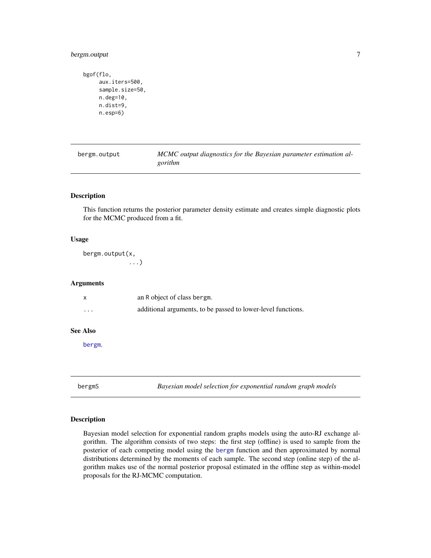#### <span id="page-6-0"></span>bergm.output 7

```
bgof(flo,
     aux.iters=500,
     sample.size=50,
    n.deg=10,
    n.dist=9,
     n.esp=6)
```

```
bergm.output MCMC output diagnostics for the Bayesian parameter estimation al-
                      gorithm
```
#### Description

This function returns the posterior parameter density estimate and creates simple diagnostic plots for the MCMC produced from a fit.

#### Usage

bergm.output(x, ...)

#### Arguments

| х               | an R object of class bergm.                                  |
|-----------------|--------------------------------------------------------------|
| $\cdots$        | additional arguments, to be passed to lower-level functions. |
| <b>See Also</b> |                                                              |
| bergm.          |                                                              |

<span id="page-6-2"></span>

bergmS *Bayesian model selection for exponential random graph models*

#### Description

Bayesian model selection for exponential random graphs models using the auto-RJ exchange algorithm. The algorithm consists of two steps: the first step (offline) is used to sample from the posterior of each competing model using the [bergm](#page-4-1) function and then approximated by normal distributions determined by the moments of each sample. The second step (online step) of the algorithm makes use of the normal posterior proposal estimated in the offline step as within-model proposals for the RJ-MCMC computation.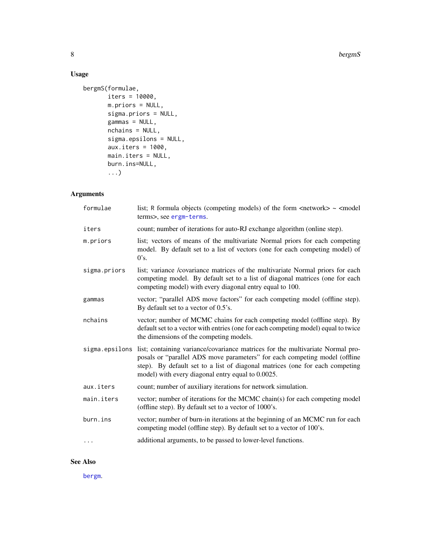#### 8 bergmS

### Usage

```
bergmS(formulae,
       iters = 10000,
      m.priors = NULL,
       sigma.priors = NULL,
       gammas = NULL,
       nchains = NULL,
       sigma.epsilons = NULL,
       aux.iters = 1000,
      main.iters = NULL,
      burn.ins=NULL,
       ...)
```
# Arguments

| formulae       | list; R formula objects (competing models) of the form $\langle$ network $\rangle \sim \langle$ model<br>terms>, see ergm-terms.                                                                                                                                                                  |
|----------------|---------------------------------------------------------------------------------------------------------------------------------------------------------------------------------------------------------------------------------------------------------------------------------------------------|
| iters          | count; number of iterations for auto-RJ exchange algorithm (online step).                                                                                                                                                                                                                         |
| m.priors       | list; vectors of means of the multivariate Normal priors for each competing<br>model. By default set to a list of vectors (one for each competing model) of<br>0's.                                                                                                                               |
| sigma.priors   | list; variance /covariance matrices of the multivariate Normal priors for each<br>competing model. By default set to a list of diagonal matrices (one for each<br>competing model) with every diagonal entry equal to 100.                                                                        |
| gammas         | vector; "parallel ADS move factors" for each competing model (offline step).<br>By default set to a vector of 0.5's.                                                                                                                                                                              |
| nchains        | vector; number of MCMC chains for each competing model (offline step). By<br>default set to a vector with entries (one for each competing model) equal to twice<br>the dimensions of the competing models.                                                                                        |
| sigma.epsilons | list; containing variance/covariance matrices for the multivariate Normal pro-<br>posals or "parallel ADS move parameters" for each competing model (offline<br>step). By default set to a list of diagonal matrices (one for each competing<br>model) with every diagonal entry equal to 0.0025. |
| aux.iters      | count; number of auxiliary iterations for network simulation.                                                                                                                                                                                                                                     |
| main.iters     | vector; number of iterations for the MCMC chain(s) for each competing model<br>(offline step). By default set to a vector of 1000's.                                                                                                                                                              |
| burn.ins       | vector; number of burn-in iterations at the beginning of an MCMC run for each<br>competing model (offline step). By default set to a vector of 100's.                                                                                                                                             |
| $\cdots$       | additional arguments, to be passed to lower-level functions.                                                                                                                                                                                                                                      |

## See Also

[bergm](#page-4-1).

<span id="page-7-0"></span>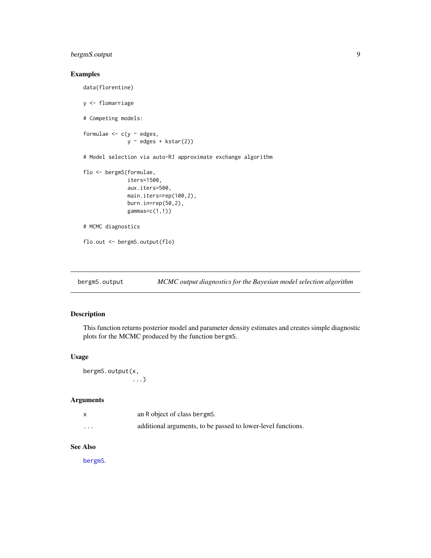#### <span id="page-8-0"></span>bergmS.output 9

#### Examples

```
data(florentine)
y <- flomarriage
# Competing models:
formulae <-c(y - edges),
              y \sim edges + kstar(2))
# Model selection via auto-RJ approximate exchange algorithm
flo <- bergmS(formulae,
              iters=1500,
              aux.iters=500,
              main.iters=rep(100,2),
              burn.in=rep(50,2),
              gammas=c(1,1))
# MCMC diagnostics
flo.out <- bergmS.output(flo)
```
bergmS.output *MCMC output diagnostics for the Bayesian model selection algorithm*

#### Description

This function returns posterior model and parameter density estimates and creates simple diagnostic plots for the MCMC produced by the function bergmS.

#### Usage

```
bergmS.output(x,
              ...)
```
#### Arguments

|          | an R object of class bergms.                                 |
|----------|--------------------------------------------------------------|
| $\cdots$ | additional arguments, to be passed to lower-level functions. |

#### See Also

[bergmS](#page-6-2).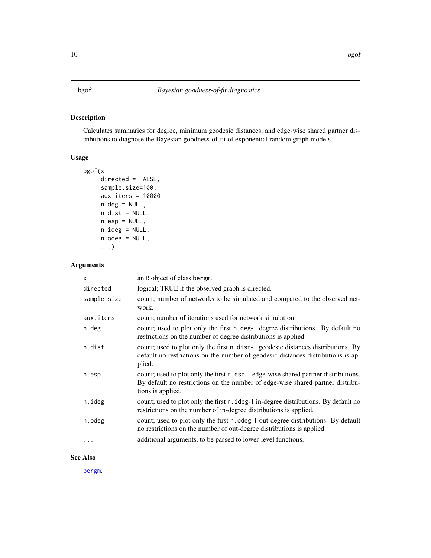#### <span id="page-9-1"></span><span id="page-9-0"></span>Description

Calculates summaries for degree, minimum geodesic distances, and edge-wise shared partner distributions to diagnose the Bayesian goodness-of-fit of exponential random graph models.

#### Usage

```
bgof(x,
     directed = FALSE,
     sample.size=100,
     aux.iters = 10000,
     n.deg = NULL,
     n.dist = NULL,
     n.\text{esp} = \text{NULL},
     n.ideg = NULL,
     n.odeg = NULL,
     ...)
```
#### Arguments

| X           | an R object of class bergm.                                                                                                                                                                |
|-------------|--------------------------------------------------------------------------------------------------------------------------------------------------------------------------------------------|
| directed    | logical; TRUE if the observed graph is directed.                                                                                                                                           |
| sample.size | count; number of networks to be simulated and compared to the observed net-<br>work.                                                                                                       |
| aux.iters   | count; number of iterations used for network simulation.                                                                                                                                   |
| n.deg       | count; used to plot only the first n.deg-1 degree distributions. By default no<br>restrictions on the number of degree distributions is applied.                                           |
| n.dist      | count; used to plot only the first n. dist-1 geodesic distances distributions. By<br>default no restrictions on the number of geodesic distances distributions is ap-<br>plied.            |
| n.esp       | count; used to plot only the first n. esp-1 edge-wise shared partner distributions.<br>By default no restrictions on the number of edge-wise shared partner distribu-<br>tions is applied. |
| n.ideg      | count; used to plot only the first n. ideg-1 in-degree distributions. By default no<br>restrictions on the number of in-degree distributions is applied.                                   |
| n.odeg      | count; used to plot only the first n. odeg-1 out-degree distributions. By default<br>no restrictions on the number of out-degree distributions is applied.                                 |
|             | additional arguments, to be passed to lower-level functions.                                                                                                                               |

#### See Also

[bergm](#page-4-1).